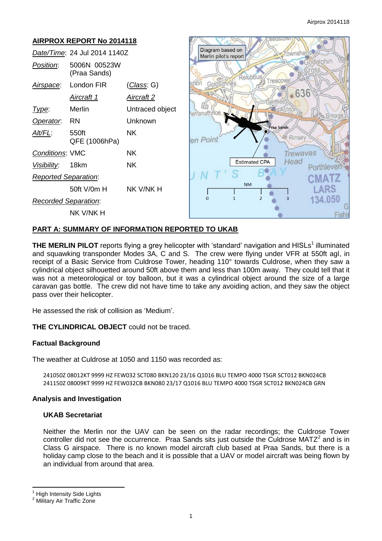| <b>AIRPROX REPORT No 2014118</b> |                              |                    | eedstown                                               |
|----------------------------------|------------------------------|--------------------|--------------------------------------------------------|
| Date/Time: 24 Jul 2014 1140Z     |                              |                    | Diagram based on<br>Townshend<br>Merlin pilot's report |
| Position:                        | 5006N 00523W<br>(Praa Sands) |                    | Godolphin<br>Relubbus                                  |
| Airspace:                        | London FIR                   | <u>(Class</u> : G) | Trescowe<br>Goldsithney                                |
|                                  | <u>Aircraft 1</u>            | <u>Aircraft 2</u>  | $-636$<br>Germoe                                       |
| Type:                            | Merlin                       | Untraced object    | erranuth                                               |
| Operator.                        | <b>RN</b>                    | Unknown            | Breage,<br><b>Praa Sands</b>                           |
| Alt/FL:                          | 550ft<br>QFE (1006hPa)       | <b>NK</b>          | Rinsey<br>en Poin                                      |
| <b>Conditions: VMC</b>           |                              | NK.                | Trewavas                                               |
| Visibility:                      | 18km                         | <b>NK</b>          | Head<br><b>Estimated CPA</b>                           |
| <b>Reported Separation:</b>      |                              |                    |                                                        |
|                                  | 50ft V/0m H                  | NK V/NK H          | <b>NM</b><br>ARS                                       |
| <b>Recorded Separation:</b>      |                              |                    | 134.050<br>$\Omega$<br>2                               |
|                                  | NK V/NK H                    |                    | $F$ <sub>IS</sub> h                                    |

# **PART A: SUMMARY OF INFORMATION REPORTED TO UKAB**

**THE MERLIN PILOT** reports flying a grey helicopter with 'standard' navigation and HISLs<sup>1</sup> illuminated and squawking transponder Modes 3A, C and S. The crew were flying under VFR at 550ft agl, in receipt of a Basic Service from Culdrose Tower, heading 110° towards Culdrose, when they saw a cylindrical object silhouetted around 50ft above them and less than 100m away. They could tell that it was not a meteorological or toy balloon, but it was a cylindrical object around the size of a large caravan gas bottle. The crew did not have time to take any avoiding action, and they saw the object pass over their helicopter.

He assessed the risk of collision as 'Medium'.

**THE CYLINDRICAL OBJECT** could not be traced.

### **Factual Background**

The weather at Culdrose at 1050 and 1150 was recorded as:

241050Z 08012KT 9999 HZ FEW032 SCT080 BKN120 23/16 Q1016 BLU TEMPO 4000 TSGR SCT012 BKN024CB 241150Z 08009KT 9999 HZ FEW032CB BKN080 23/17 Q1016 BLU TEMPO 4000 TSGR SCT012 BKN024CB GRN

### **Analysis and Investigation**

### **UKAB Secretariat**

Neither the Merlin nor the UAV can be seen on the radar recordings; the Culdrose Tower controller did not see the occurrence. Praa Sands sits just outside the Culdrose MATZ $2$  and is in Class G airspace. There is no known model aircraft club based at Praa Sands, but there is a holiday camp close to the beach and it is possible that a UAV or model aircraft was being flown by an individual from around that area.

 $\overline{\phantom{a}}$ 

**High Intensity Side Lights** 

<sup>2</sup> Military Air Traffic Zone